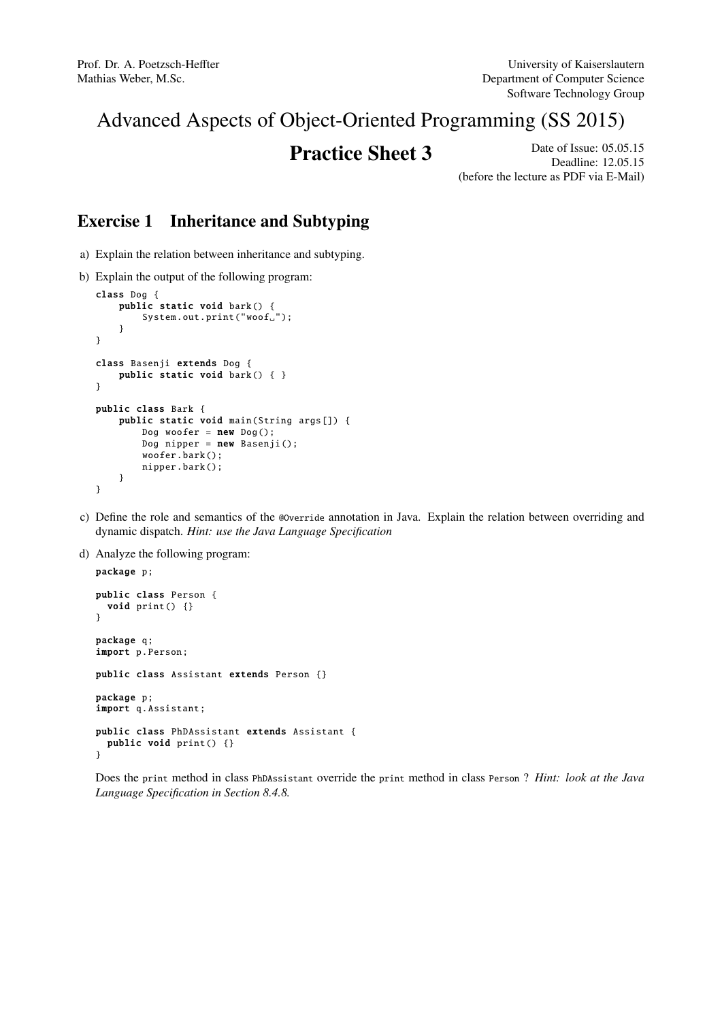# Advanced Aspects of Object-Oriented Programming (SS 2015)

**Practice Sheet 3** Date of Issue: 05.05.15 Deadline: 12.05.15 (before the lecture as PDF via E-Mail)

# Exercise 1 Inheritance and Subtyping

- a) Explain the relation between inheritance and subtyping.
- b) Explain the output of the following program:

```
class Dog {
    public static void bark () {
        System.out.print("wood ";
    }
}
class Basenji extends Dog {
    public static void bark() { }
}
public class Bark {
    public static void main(String args []) {
        Dog woofer = new Dog();
        Dog nipper = new Basenji();
        woofer.bark ();
        nipper.bark ();
    }
}
```
- c) Define the role and semantics of the @Override annotation in Java. Explain the relation between overriding and dynamic dispatch. *Hint: use the Java Language Specification*
- d) Analyze the following program:

```
package p;
public class Person {
 void print () {}
}
package q;
import p.Person;
public class Assistant extends Person {}
package p;
import q. Assistant ;
public class PhDAssistant extends Assistant {
 public void print () {}
}
```
Does the print method in class PhDAssistant override the print method in class Person ? *Hint: look at the Java Language Specification in Section 8.4.8.*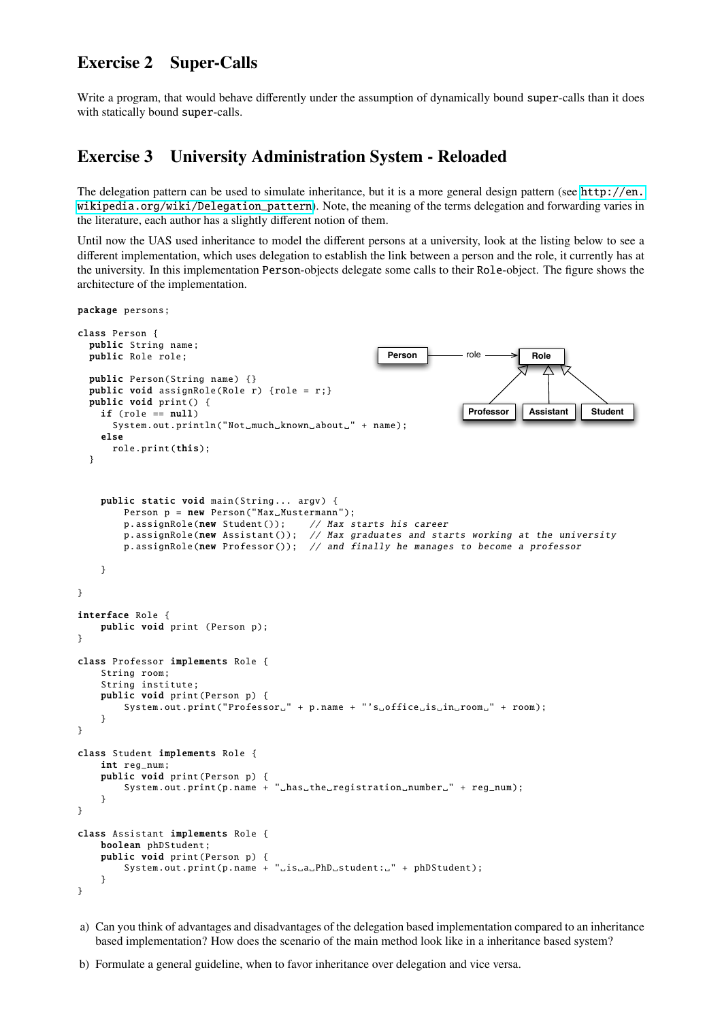#### Exercise 2 Super-Calls

package persons;

Write a program, that would behave differently under the assumption of dynamically bound super-calls than it does with statically bound super-calls.

#### Exercise 3 University Administration System - Reloaded

The delegation pattern can be used to simulate inheritance, but it is a more general design pattern (see [http://en.](http://en.wikipedia.org/wiki/Delegation_pattern) [wikipedia.org/wiki/Delegation\\_pattern](http://en.wikipedia.org/wiki/Delegation_pattern)). Note, the meaning of the terms delegation and forwarding varies in the literature, each author has a slightly different notion of them.

Until now the UAS used inheritance to model the different persons at a university, look at the listing below to see a different implementation, which uses delegation to establish the link between a person and the role, it currently has at the university. In this implementation Person-objects delegate some calls to their Role-object. The figure shows the architecture of the implementation.

```
class Person {
  public String name;
  public Role role;
  public Person(String name) {}
  public void assignRole (Role r) {role = r;}
  public void print () {
    if (role == null)
       System.out.println("Not_much_known_about_" + name);
    else
      role.print(this);
  }
                                                                                        Role
                                                                            Professor
                                                                           role
                                                                                        Assistant Student
                                                            Person
    public static void main(String... argv) {
         Person p = new Person("Max_Musterman");p. assignRole(new Student()); // Max starts his career
        p. assignRole (new Assistant ()); // Max graduates and starts working at the university
         p. assignRole (new Professor ()); // and finally he manages to become a professor
    }
}
interface Role {
    public void print (Person p);
}
class Professor implements Role {
    String room;
    String institute ;
    public void print(Person p) {
         System.out.print("Professor_" + p.name + "'s_office_is_in_room_" + room);
    }
}
class Student implements Role {
    int reg_num;
    public void print(Person p) {
         System.out.print(p.name + "_{\text{u}} has_{\text{u}} the_{\text{u}} registration_{\text{u}} number_{\text{u}}" + reg_{\text{u}}num);}
}
class Assistant implements Role {
    boolean phDStudent ;
    public void print(Person p) {
         System.out.print(p.name + "\text{LiS}_da<sub>u</sub>PhD<sub>u</sub>student: \text{m} + phDStudent);
    }
}
```
a) Can you think of advantages and disadvantages of the delegation based implementation compared to an inheritance based implementation? How does the scenario of the main method look like in a inheritance based system?

b) Formulate a general guideline, when to favor inheritance over delegation and vice versa.